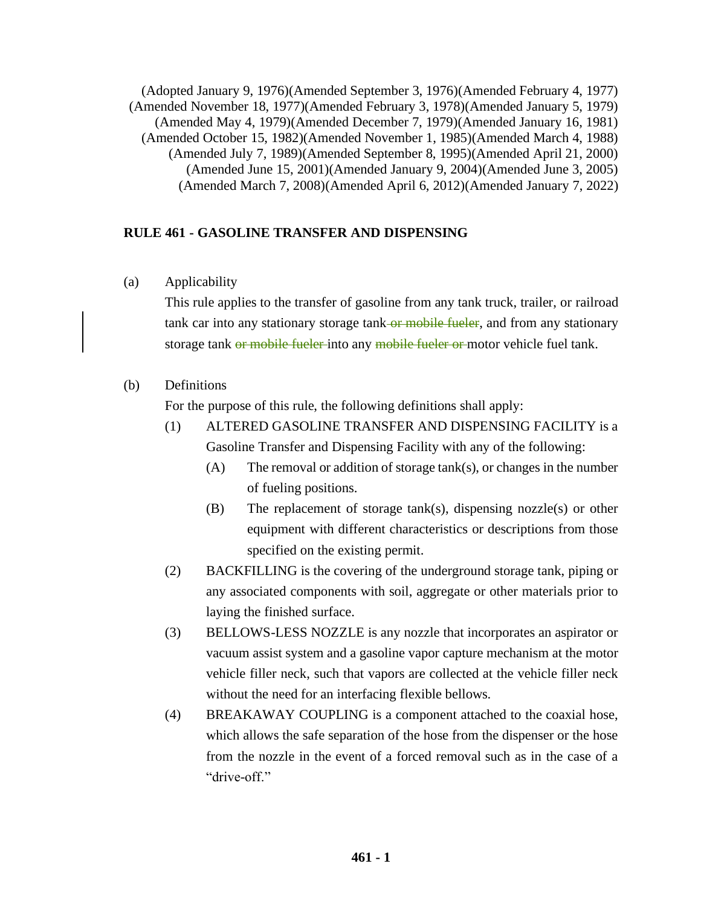(Adopted January 9, 1976)(Amended September 3, 1976)(Amended February 4, 1977) (Amended November 18, 1977)(Amended February 3, 1978)(Amended January 5, 1979) (Amended May 4, 1979)(Amended December 7, 1979)(Amended January 16, 1981) (Amended October 15, 1982)(Amended November 1, 1985)(Amended March 4, 1988) (Amended July 7, 1989)(Amended September 8, 1995)(Amended April 21, 2000) (Amended June 15, 2001)(Amended January 9, 2004)(Amended June 3, 2005) (Amended March 7, 2008)(Amended April 6, 2012)(Amended January 7, 2022)

#### **RULE 461 - GASOLINE TRANSFER AND DISPENSING**

(a) Applicability

This rule applies to the transfer of gasoline from any tank truck, trailer, or railroad tank car into any stationary storage tank-or mobile fueler, and from any stationary storage tank or mobile fueler into any mobile fueler or motor vehicle fuel tank.

#### (b) Definitions

For the purpose of this rule, the following definitions shall apply:

- (1) ALTERED GASOLINE TRANSFER AND DISPENSING FACILITY is a Gasoline Transfer and Dispensing Facility with any of the following:
	- (A) The removal or addition of storage tank(s), or changes in the number of fueling positions.
	- (B) The replacement of storage tank(s), dispensing nozzle(s) or other equipment with different characteristics or descriptions from those specified on the existing permit.
- (2) BACKFILLING is the covering of the underground storage tank, piping or any associated components with soil, aggregate or other materials prior to laying the finished surface.
- (3) BELLOWS-LESS NOZZLE is any nozzle that incorporates an aspirator or vacuum assist system and a gasoline vapor capture mechanism at the motor vehicle filler neck, such that vapors are collected at the vehicle filler neck without the need for an interfacing flexible bellows.
- (4) BREAKAWAY COUPLING is a component attached to the coaxial hose, which allows the safe separation of the hose from the dispenser or the hose from the nozzle in the event of a forced removal such as in the case of a "drive-off."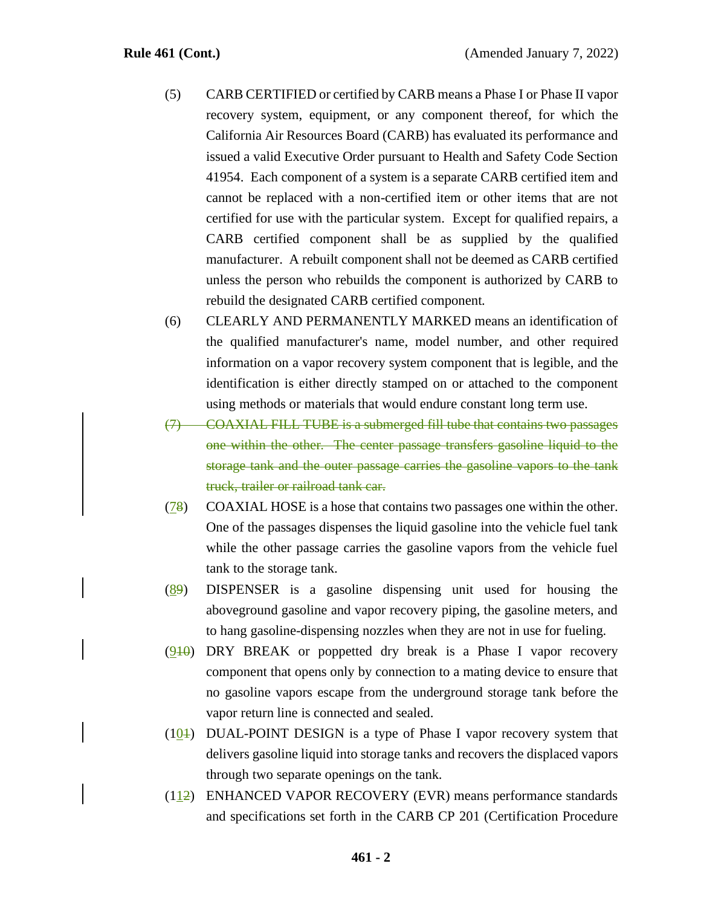- (5) CARB CERTIFIED or certified by CARB means a Phase I or Phase II vapor recovery system, equipment, or any component thereof, for which the California Air Resources Board (CARB) has evaluated its performance and issued a valid Executive Order pursuant to Health and Safety Code Section 41954. Each component of a system is a separate CARB certified item and cannot be replaced with a non-certified item or other items that are not certified for use with the particular system. Except for qualified repairs, a CARB certified component shall be as supplied by the qualified manufacturer. A rebuilt component shall not be deemed as CARB certified unless the person who rebuilds the component is authorized by CARB to rebuild the designated CARB certified component.
- (6) CLEARLY AND PERMANENTLY MARKED means an identification of the qualified manufacturer's name, model number, and other required information on a vapor recovery system component that is legible, and the identification is either directly stamped on or attached to the component using methods or materials that would endure constant long term use.
- (7) COAXIAL FILL TUBE is a submerged fill tube that contains two passages one within the other. The center passage transfers gasoline liquid to the storage tank and the outer passage carries the gasoline vapors to the tank truck, trailer or railroad tank car.
- (78) COAXIAL HOSE is a hose that contains two passages one within the other. One of the passages dispenses the liquid gasoline into the vehicle fuel tank while the other passage carries the gasoline vapors from the vehicle fuel tank to the storage tank.
- (89) DISPENSER is a gasoline dispensing unit used for housing the aboveground gasoline and vapor recovery piping, the gasoline meters, and to hang gasoline-dispensing nozzles when they are not in use for fueling.
- $(910)$  DRY BREAK or poppetted dry break is a Phase I vapor recovery component that opens only by connection to a mating device to ensure that no gasoline vapors escape from the underground storage tank before the vapor return line is connected and sealed.
- $(10)$  DUAL-POINT DESIGN is a type of Phase I vapor recovery system that delivers gasoline liquid into storage tanks and recovers the displaced vapors through two separate openings on the tank.
- (112) ENHANCED VAPOR RECOVERY (EVR) means performance standards and specifications set forth in the CARB CP 201 (Certification Procedure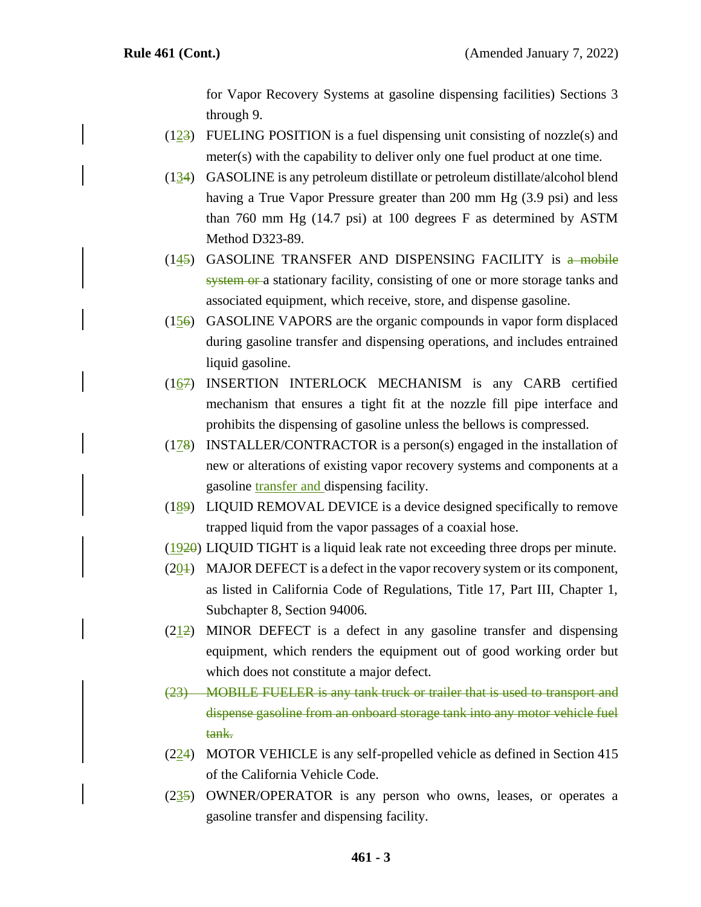for Vapor Recovery Systems at gasoline dispensing facilities) Sections 3 through 9.

- $(123)$  FUELING POSITION is a fuel dispensing unit consisting of nozzle(s) and meter(s) with the capability to deliver only one fuel product at one time.
- (134) GASOLINE is any petroleum distillate or petroleum distillate/alcohol blend having a True Vapor Pressure greater than 200 mm Hg (3.9 psi) and less than 760 mm Hg (14.7 psi) at 100 degrees F as determined by ASTM Method D323-89.
- $(145)$  GASOLINE TRANSFER AND DISPENSING FACILITY is  $a$  mobile system or a stationary facility, consisting of one or more storage tanks and associated equipment, which receive, store, and dispense gasoline.
- $(156)$  GASOLINE VAPORS are the organic compounds in vapor form displaced during gasoline transfer and dispensing operations, and includes entrained liquid gasoline.
- (167) INSERTION INTERLOCK MECHANISM is any CARB certified mechanism that ensures a tight fit at the nozzle fill pipe interface and prohibits the dispensing of gasoline unless the bellows is compressed.
- (178) INSTALLER/CONTRACTOR is a person(s) engaged in the installation of new or alterations of existing vapor recovery systems and components at a gasoline transfer and dispensing facility.
- (189) LIQUID REMOVAL DEVICE is a device designed specifically to remove trapped liquid from the vapor passages of a coaxial hose.
- (1920) LIQUID TIGHT is a liquid leak rate not exceeding three drops per minute.
- $(20)$  MAJOR DEFECT is a defect in the vapor recovery system or its component, as listed in California Code of Regulations, Title 17, Part III, Chapter 1, Subchapter 8, Section 94006.
- $(212)$  MINOR DEFECT is a defect in any gasoline transfer and dispensing equipment, which renders the equipment out of good working order but which does not constitute a major defect.
- (23) MOBILE FUELER is any tank truck or trailer that is used to transport and dispense gasoline from an onboard storage tank into any motor vehicle fuel tank.
- (224) MOTOR VEHICLE is any self-propelled vehicle as defined in Section 415 of the California Vehicle Code.
- (235) OWNER/OPERATOR is any person who owns, leases, or operates a gasoline transfer and dispensing facility.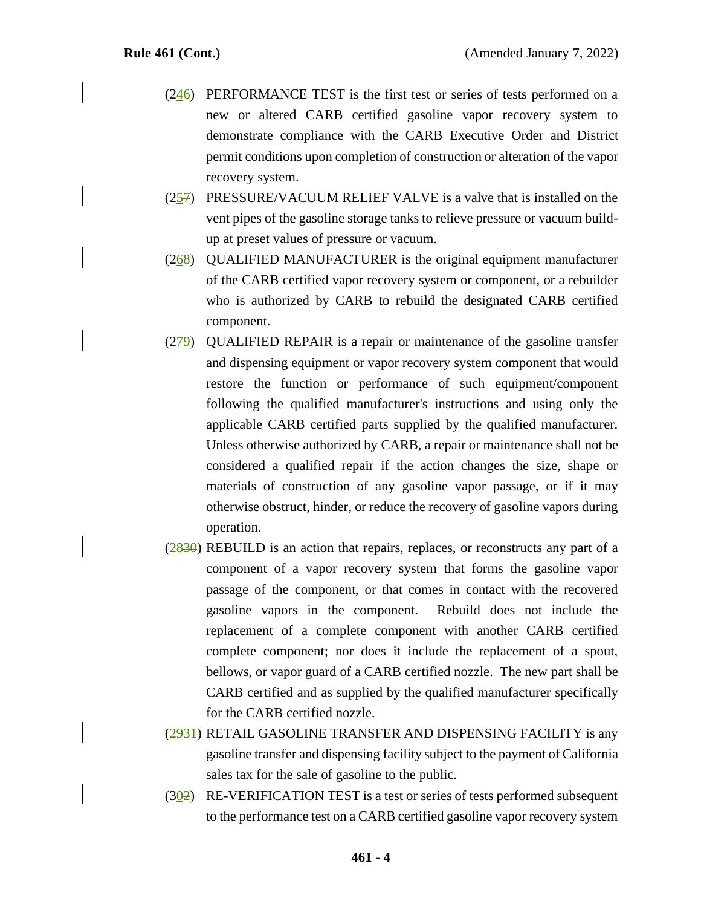- $(246)$  PERFORMANCE TEST is the first test or series of tests performed on a new or altered CARB certified gasoline vapor recovery system to demonstrate compliance with the CARB Executive Order and District permit conditions upon completion of construction or alteration of the vapor recovery system.
- (257) PRESSURE/VACUUM RELIEF VALVE is a valve that is installed on the vent pipes of the gasoline storage tanks to relieve pressure or vacuum buildup at preset values of pressure or vacuum.
- (268) QUALIFIED MANUFACTURER is the original equipment manufacturer of the CARB certified vapor recovery system or component, or a rebuilder who is authorized by CARB to rebuild the designated CARB certified component.
- (279) QUALIFIED REPAIR is a repair or maintenance of the gasoline transfer and dispensing equipment or vapor recovery system component that would restore the function or performance of such equipment/component following the qualified manufacturer's instructions and using only the applicable CARB certified parts supplied by the qualified manufacturer. Unless otherwise authorized by CARB, a repair or maintenance shall not be considered a qualified repair if the action changes the size, shape or materials of construction of any gasoline vapor passage, or if it may otherwise obstruct, hinder, or reduce the recovery of gasoline vapors during operation.
- (2830) REBUILD is an action that repairs, replaces, or reconstructs any part of a component of a vapor recovery system that forms the gasoline vapor passage of the component, or that comes in contact with the recovered gasoline vapors in the component. Rebuild does not include the replacement of a complete component with another CARB certified complete component; nor does it include the replacement of a spout, bellows, or vapor guard of a CARB certified nozzle. The new part shall be CARB certified and as supplied by the qualified manufacturer specifically for the CARB certified nozzle.
- (2931) RETAIL GASOLINE TRANSFER AND DISPENSING FACILITY is any gasoline transfer and dispensing facility subject to the payment of California sales tax for the sale of gasoline to the public.
- $(302)$  RE-VERIFICATION TEST is a test or series of tests performed subsequent to the performance test on a CARB certified gasoline vapor recovery system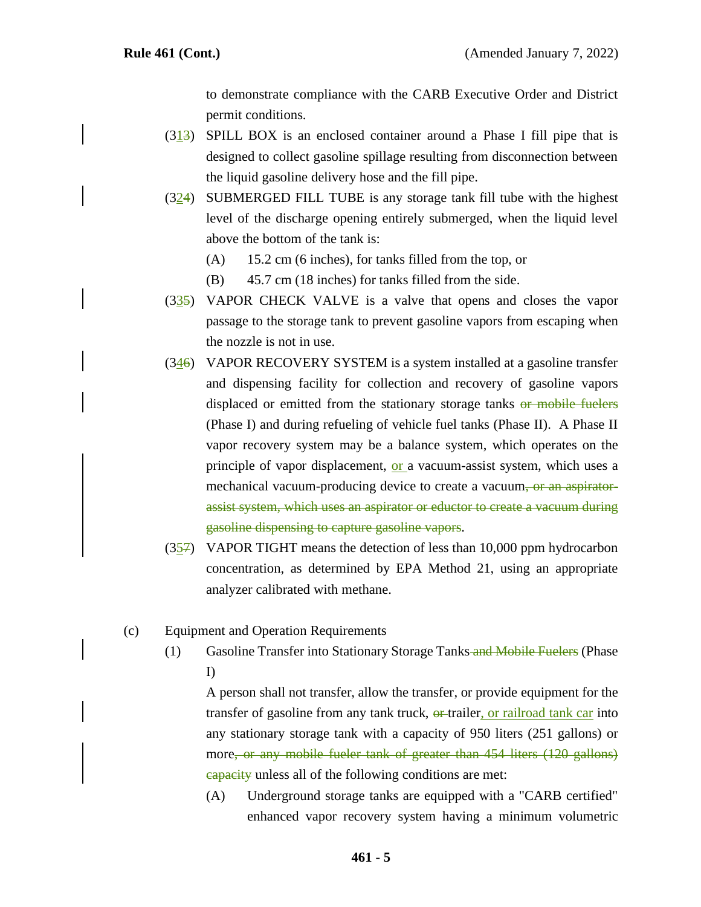to demonstrate compliance with the CARB Executive Order and District permit conditions.

- $(313)$  SPILL BOX is an enclosed container around a Phase I fill pipe that is designed to collect gasoline spillage resulting from disconnection between the liquid gasoline delivery hose and the fill pipe.
- (324) SUBMERGED FILL TUBE is any storage tank fill tube with the highest level of the discharge opening entirely submerged, when the liquid level above the bottom of the tank is:
	- (A) 15.2 cm (6 inches), for tanks filled from the top, or
	- (B) 45.7 cm (18 inches) for tanks filled from the side.
- (335) VAPOR CHECK VALVE is a valve that opens and closes the vapor passage to the storage tank to prevent gasoline vapors from escaping when the nozzle is not in use.
- $(346)$  VAPOR RECOVERY SYSTEM is a system installed at a gasoline transfer and dispensing facility for collection and recovery of gasoline vapors displaced or emitted from the stationary storage tanks or mobile fuelers (Phase I) and during refueling of vehicle fuel tanks (Phase II). A Phase II vapor recovery system may be a balance system, which operates on the principle of vapor displacement, or a vacuum-assist system, which uses a mechanical vacuum-producing device to create a vacuum<del>, or an aspirator-</del> assist system, which uses an aspirator or eductor to create a vacuum during gasoline dispensing to capture gasoline vapors.
- (357) VAPOR TIGHT means the detection of less than 10,000 ppm hydrocarbon concentration, as determined by EPA Method 21, using an appropriate analyzer calibrated with methane.
- (c) Equipment and Operation Requirements
	- (1) Gasoline Transfer into Stationary Storage Tanks and Mobile Fuelers (Phase I)

A person shall not transfer, allow the transfer, or provide equipment for the transfer of gasoline from any tank truck,  $\theta$  trailer, or railroad tank car into any stationary storage tank with a capacity of 950 liters (251 gallons) or more, or any mobile fueler tank of greater than 454 liters (120 gallons) capacity unless all of the following conditions are met:

(A) Underground storage tanks are equipped with a "CARB certified" enhanced vapor recovery system having a minimum volumetric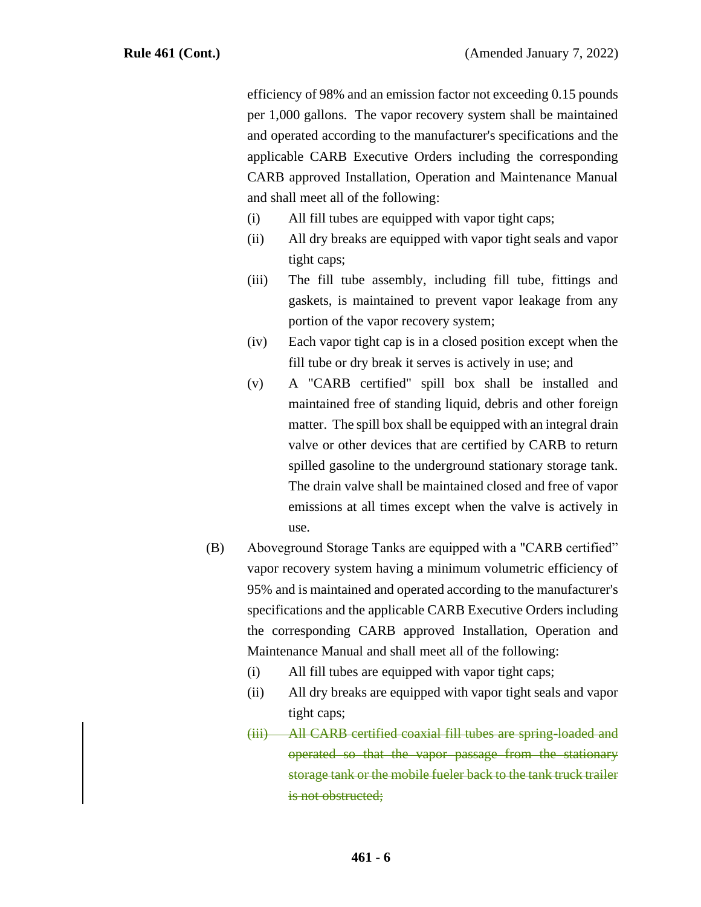efficiency of 98% and an emission factor not exceeding 0.15 pounds per 1,000 gallons. The vapor recovery system shall be maintained and operated according to the manufacturer's specifications and the applicable CARB Executive Orders including the corresponding CARB approved Installation, Operation and Maintenance Manual and shall meet all of the following:

- (i) All fill tubes are equipped with vapor tight caps;
- (ii) All dry breaks are equipped with vapor tight seals and vapor tight caps;
- (iii) The fill tube assembly, including fill tube, fittings and gaskets, is maintained to prevent vapor leakage from any portion of the vapor recovery system;
- (iv) Each vapor tight cap is in a closed position except when the fill tube or dry break it serves is actively in use; and
- (v) A "CARB certified" spill box shall be installed and maintained free of standing liquid, debris and other foreign matter. The spill box shall be equipped with an integral drain valve or other devices that are certified by CARB to return spilled gasoline to the underground stationary storage tank. The drain valve shall be maintained closed and free of vapor emissions at all times except when the valve is actively in use.
- (B) Aboveground Storage Tanks are equipped with a "CARB certified" vapor recovery system having a minimum volumetric efficiency of 95% and is maintained and operated according to the manufacturer's specifications and the applicable CARB Executive Orders including the corresponding CARB approved Installation, Operation and Maintenance Manual and shall meet all of the following:
	- (i) All fill tubes are equipped with vapor tight caps;
	- (ii) All dry breaks are equipped with vapor tight seals and vapor tight caps;
	- (iii) All CARB certified coaxial fill tubes are spring-loaded and operated so that the vapor passage from the stationary storage tank or the mobile fueler back to the tank truck trailer is not obstructed;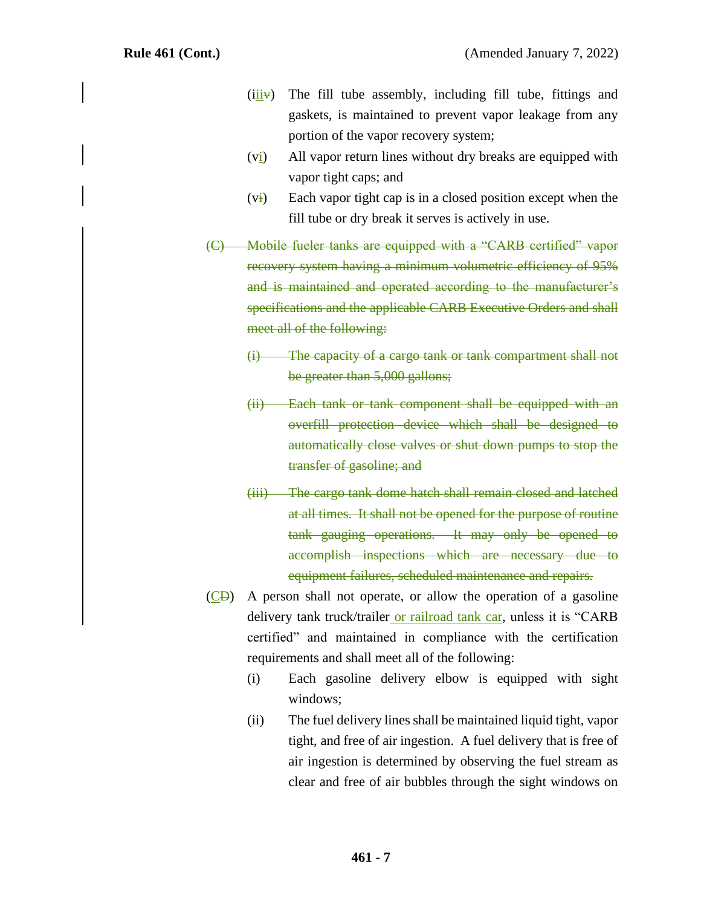- $(iii)$  The fill tube assembly, including fill tube, fittings and gaskets, is maintained to prevent vapor leakage from any portion of the vapor recovery system;
- $(v_i)$  All vapor return lines without dry breaks are equipped with vapor tight caps; and
- $(v<sub>i</sub>)$  Each vapor tight cap is in a closed position except when the fill tube or dry break it serves is actively in use.
- (C) Mobile fueler tanks are equipped with a "CARB certified" vapor recovery system having a minimum volumetric efficiency of 95% and is maintained and operated according to the manufacturer's specifications and the applicable CARB Executive Orders and shall meet all of the following:
	- (i) The capacity of a cargo tank or tank compartment shall not be greater than 5,000 gallons;
	- (ii) Each tank or tank component shall be equipped with an overfill protection device which shall be designed to automatically close valves or shut down pumps to stop the transfer of gasoline; and
	- (iii) The cargo tank dome hatch shall remain closed and latched at all times. It shall not be opened for the purpose of routine tank gauging operations. It may only be opened to accomplish inspections which are necessary due to equipment failures, scheduled maintenance and repairs.
- $(\overline{CD})$  A person shall not operate, or allow the operation of a gasoline delivery tank truck/trailer or railroad tank car, unless it is "CARB certified" and maintained in compliance with the certification requirements and shall meet all of the following:
	- (i) Each gasoline delivery elbow is equipped with sight windows;
	- (ii) The fuel delivery lines shall be maintained liquid tight, vapor tight, and free of air ingestion. A fuel delivery that is free of air ingestion is determined by observing the fuel stream as clear and free of air bubbles through the sight windows on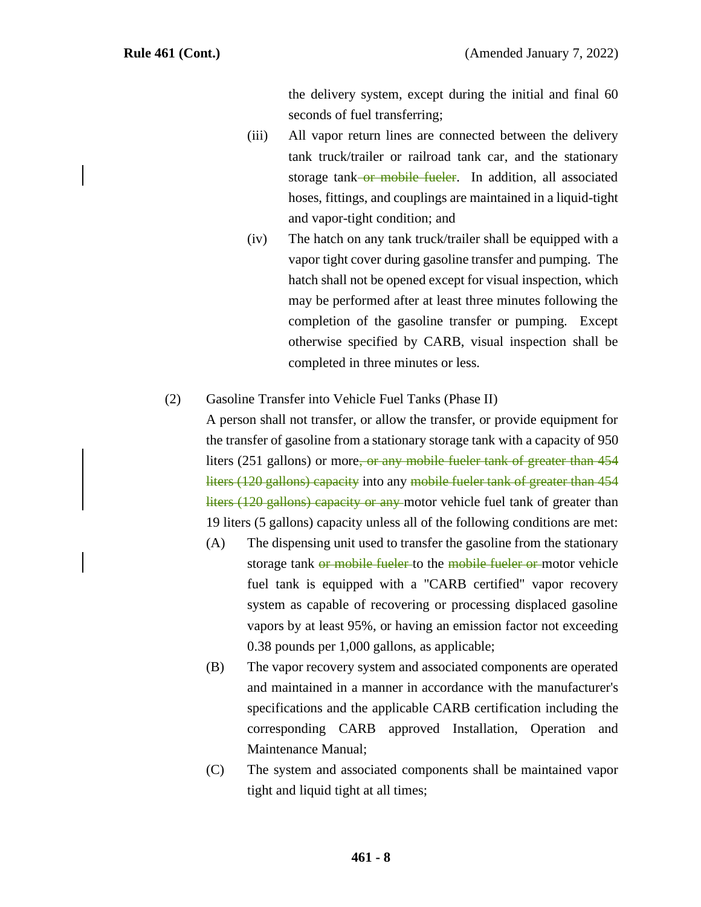the delivery system, except during the initial and final 60 seconds of fuel transferring;

- (iii) All vapor return lines are connected between the delivery tank truck/trailer or railroad tank car, and the stationary storage tank<del>-or mobile fueler</del>. In addition, all associated hoses, fittings, and couplings are maintained in a liquid-tight and vapor-tight condition; and
- (iv) The hatch on any tank truck/trailer shall be equipped with a vapor tight cover during gasoline transfer and pumping. The hatch shall not be opened except for visual inspection, which may be performed after at least three minutes following the completion of the gasoline transfer or pumping. Except otherwise specified by CARB, visual inspection shall be completed in three minutes or less.

#### (2) Gasoline Transfer into Vehicle Fuel Tanks (Phase II)

A person shall not transfer, or allow the transfer, or provide equipment for the transfer of gasoline from a stationary storage tank with a capacity of 950 liters (251 gallons) or more, or any mobile fueler tank of greater than 454 liters (120 gallons) capacity into any mobile fueler tank of greater than 454 liters (120 gallons) capacity or any motor vehicle fuel tank of greater than 19 liters (5 gallons) capacity unless all of the following conditions are met:

- (A) The dispensing unit used to transfer the gasoline from the stationary storage tank or mobile fueler to the mobile fueler or motor vehicle fuel tank is equipped with a "CARB certified" vapor recovery system as capable of recovering or processing displaced gasoline vapors by at least 95%, or having an emission factor not exceeding 0.38 pounds per 1,000 gallons, as applicable;
- (B) The vapor recovery system and associated components are operated and maintained in a manner in accordance with the manufacturer's specifications and the applicable CARB certification including the corresponding CARB approved Installation, Operation and Maintenance Manual;
- (C) The system and associated components shall be maintained vapor tight and liquid tight at all times;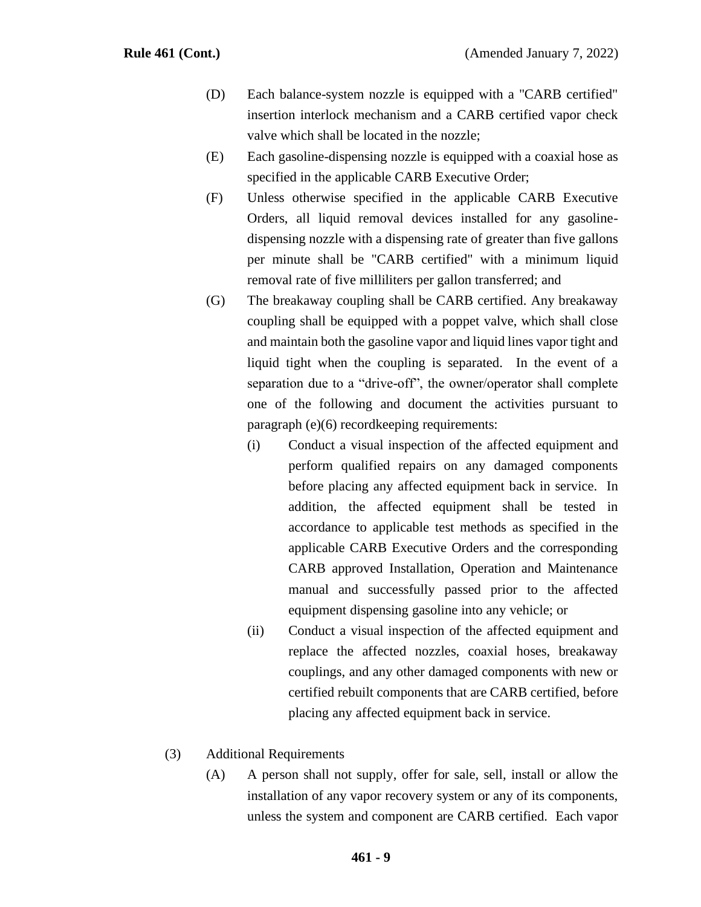- (D) Each balance-system nozzle is equipped with a "CARB certified" insertion interlock mechanism and a CARB certified vapor check valve which shall be located in the nozzle;
- (E) Each gasoline-dispensing nozzle is equipped with a coaxial hose as specified in the applicable CARB Executive Order;
- (F) Unless otherwise specified in the applicable CARB Executive Orders, all liquid removal devices installed for any gasolinedispensing nozzle with a dispensing rate of greater than five gallons per minute shall be "CARB certified" with a minimum liquid removal rate of five milliliters per gallon transferred; and
- (G) The breakaway coupling shall be CARB certified. Any breakaway coupling shall be equipped with a poppet valve, which shall close and maintain both the gasoline vapor and liquid lines vapor tight and liquid tight when the coupling is separated. In the event of a separation due to a "drive-off", the owner/operator shall complete one of the following and document the activities pursuant to paragraph (e)(6) recordkeeping requirements:
	- (i) Conduct a visual inspection of the affected equipment and perform qualified repairs on any damaged components before placing any affected equipment back in service. In addition, the affected equipment shall be tested in accordance to applicable test methods as specified in the applicable CARB Executive Orders and the corresponding CARB approved Installation, Operation and Maintenance manual and successfully passed prior to the affected equipment dispensing gasoline into any vehicle; or
	- (ii) Conduct a visual inspection of the affected equipment and replace the affected nozzles, coaxial hoses, breakaway couplings, and any other damaged components with new or certified rebuilt components that are CARB certified, before placing any affected equipment back in service.
- (3) Additional Requirements
	- (A) A person shall not supply, offer for sale, sell, install or allow the installation of any vapor recovery system or any of its components, unless the system and component are CARB certified. Each vapor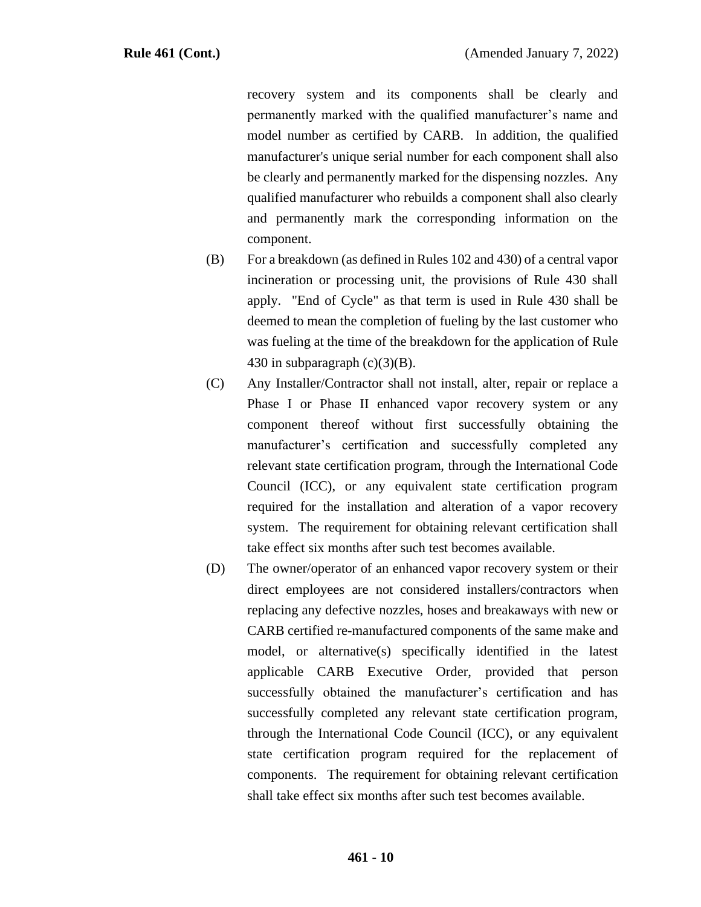recovery system and its components shall be clearly and permanently marked with the qualified manufacturer's name and model number as certified by CARB. In addition, the qualified manufacturer's unique serial number for each component shall also be clearly and permanently marked for the dispensing nozzles. Any qualified manufacturer who rebuilds a component shall also clearly and permanently mark the corresponding information on the component.

- (B) For a breakdown (as defined in Rules 102 and 430) of a central vapor incineration or processing unit, the provisions of Rule 430 shall apply. "End of Cycle" as that term is used in Rule 430 shall be deemed to mean the completion of fueling by the last customer who was fueling at the time of the breakdown for the application of Rule 430 in subparagraph  $(c)(3)(B)$ .
- (C) Any Installer/Contractor shall not install, alter, repair or replace a Phase I or Phase II enhanced vapor recovery system or any component thereof without first successfully obtaining the manufacturer's certification and successfully completed any relevant state certification program, through the International Code Council (ICC), or any equivalent state certification program required for the installation and alteration of a vapor recovery system. The requirement for obtaining relevant certification shall take effect six months after such test becomes available.
- (D) The owner/operator of an enhanced vapor recovery system or their direct employees are not considered installers/contractors when replacing any defective nozzles, hoses and breakaways with new or CARB certified re-manufactured components of the same make and model, or alternative(s) specifically identified in the latest applicable CARB Executive Order, provided that person successfully obtained the manufacturer's certification and has successfully completed any relevant state certification program, through the International Code Council (ICC), or any equivalent state certification program required for the replacement of components. The requirement for obtaining relevant certification shall take effect six months after such test becomes available.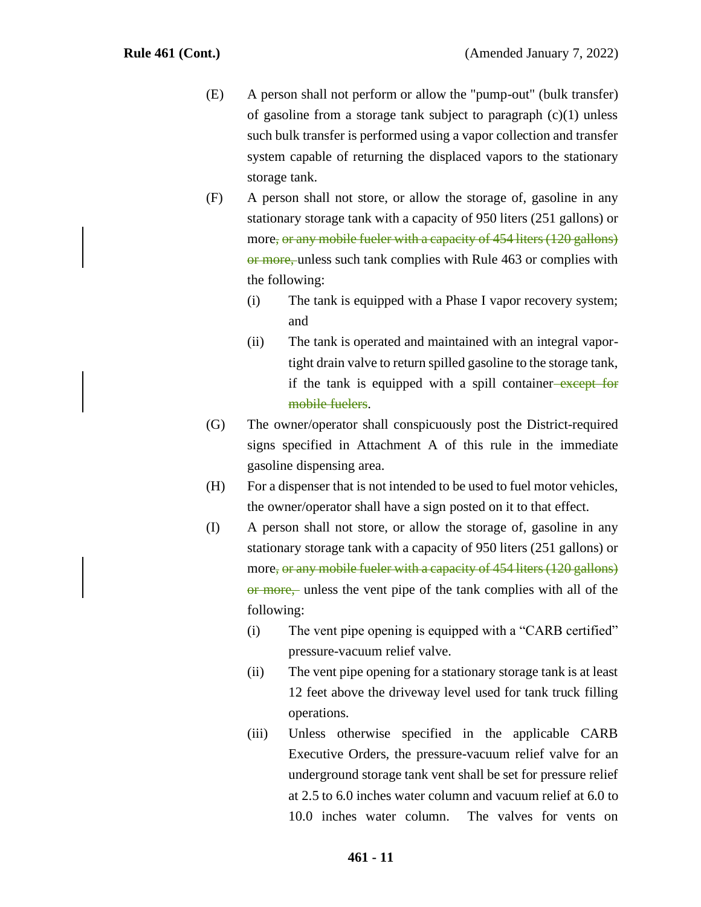- (E) A person shall not perform or allow the "pump-out" (bulk transfer) of gasoline from a storage tank subject to paragraph  $(c)(1)$  unless such bulk transfer is performed using a vapor collection and transfer system capable of returning the displaced vapors to the stationary storage tank.
- (F) A person shall not store, or allow the storage of, gasoline in any stationary storage tank with a capacity of 950 liters (251 gallons) or more, or any mobile fueler with a capacity of 454 liters (120 gallons) or more, unless such tank complies with Rule 463 or complies with the following:
	- (i) The tank is equipped with a Phase I vapor recovery system; and
	- (ii) The tank is operated and maintained with an integral vaportight drain valve to return spilled gasoline to the storage tank, if the tank is equipped with a spill container-except for mobile fuelers.
- (G) The owner/operator shall conspicuously post the District-required signs specified in Attachment A of this rule in the immediate gasoline dispensing area.
- (H) For a dispenser that is not intended to be used to fuel motor vehicles, the owner/operator shall have a sign posted on it to that effect.
- (I) A person shall not store, or allow the storage of, gasoline in any stationary storage tank with a capacity of 950 liters (251 gallons) or more, or any mobile fueler with a capacity of 454 liters (120 gallons) or more, unless the vent pipe of the tank complies with all of the following:
	- (i) The vent pipe opening is equipped with a "CARB certified" pressure-vacuum relief valve.
	- (ii) The vent pipe opening for a stationary storage tank is at least 12 feet above the driveway level used for tank truck filling operations.
	- (iii) Unless otherwise specified in the applicable CARB Executive Orders, the pressure-vacuum relief valve for an underground storage tank vent shall be set for pressure relief at 2.5 to 6.0 inches water column and vacuum relief at 6.0 to 10.0 inches water column. The valves for vents on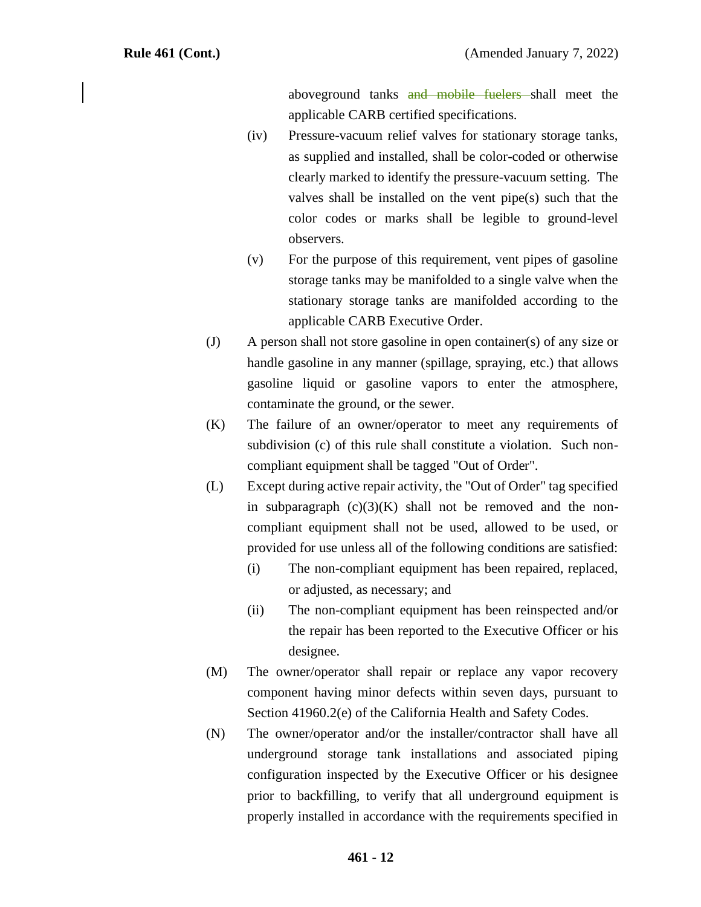aboveground tanks and mobile fuelers shall meet the applicable CARB certified specifications.

- (iv) Pressure-vacuum relief valves for stationary storage tanks, as supplied and installed, shall be color-coded or otherwise clearly marked to identify the pressure-vacuum setting. The valves shall be installed on the vent pipe(s) such that the color codes or marks shall be legible to ground-level observers.
- (v) For the purpose of this requirement, vent pipes of gasoline storage tanks may be manifolded to a single valve when the stationary storage tanks are manifolded according to the applicable CARB Executive Order.
- (J) A person shall not store gasoline in open container(s) of any size or handle gasoline in any manner (spillage, spraying, etc.) that allows gasoline liquid or gasoline vapors to enter the atmosphere, contaminate the ground, or the sewer.
- (K) The failure of an owner/operator to meet any requirements of subdivision (c) of this rule shall constitute a violation. Such noncompliant equipment shall be tagged "Out of Order".
- (L) Except during active repair activity, the "Out of Order" tag specified in subparagraph  $(c)(3)(K)$  shall not be removed and the noncompliant equipment shall not be used, allowed to be used, or provided for use unless all of the following conditions are satisfied:
	- (i) The non-compliant equipment has been repaired, replaced, or adjusted, as necessary; and
	- (ii) The non-compliant equipment has been reinspected and/or the repair has been reported to the Executive Officer or his designee.
- (M) The owner/operator shall repair or replace any vapor recovery component having minor defects within seven days, pursuant to Section 41960.2(e) of the California Health and Safety Codes.
- (N) The owner/operator and/or the installer/contractor shall have all underground storage tank installations and associated piping configuration inspected by the Executive Officer or his designee prior to backfilling, to verify that all underground equipment is properly installed in accordance with the requirements specified in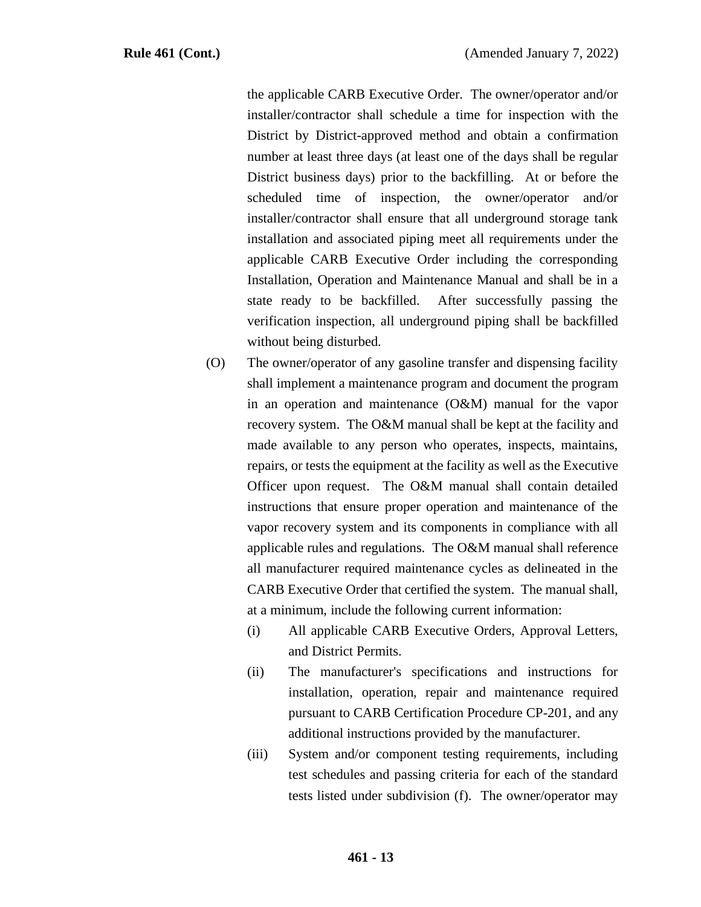the applicable CARB Executive Order. The owner/operator and/or installer/contractor shall schedule a time for inspection with the District by District-approved method and obtain a confirmation number at least three days (at least one of the days shall be regular District business days) prior to the backfilling. At or before the scheduled time of inspection, the owner/operator and/or installer/contractor shall ensure that all underground storage tank installation and associated piping meet all requirements under the applicable CARB Executive Order including the corresponding Installation, Operation and Maintenance Manual and shall be in a state ready to be backfilled. After successfully passing the verification inspection, all underground piping shall be backfilled without being disturbed.

- (O) The owner/operator of any gasoline transfer and dispensing facility shall implement a maintenance program and document the program in an operation and maintenance (O&M) manual for the vapor recovery system. The O&M manual shall be kept at the facility and made available to any person who operates, inspects, maintains, repairs, or tests the equipment at the facility as well as the Executive Officer upon request. The O&M manual shall contain detailed instructions that ensure proper operation and maintenance of the vapor recovery system and its components in compliance with all applicable rules and regulations. The O&M manual shall reference all manufacturer required maintenance cycles as delineated in the CARB Executive Order that certified the system. The manual shall, at a minimum, include the following current information:
	- (i) All applicable CARB Executive Orders, Approval Letters, and District Permits.
	- (ii) The manufacturer's specifications and instructions for installation, operation, repair and maintenance required pursuant to CARB Certification Procedure CP-201, and any additional instructions provided by the manufacturer.
	- (iii) System and/or component testing requirements, including test schedules and passing criteria for each of the standard tests listed under subdivision (f). The owner/operator may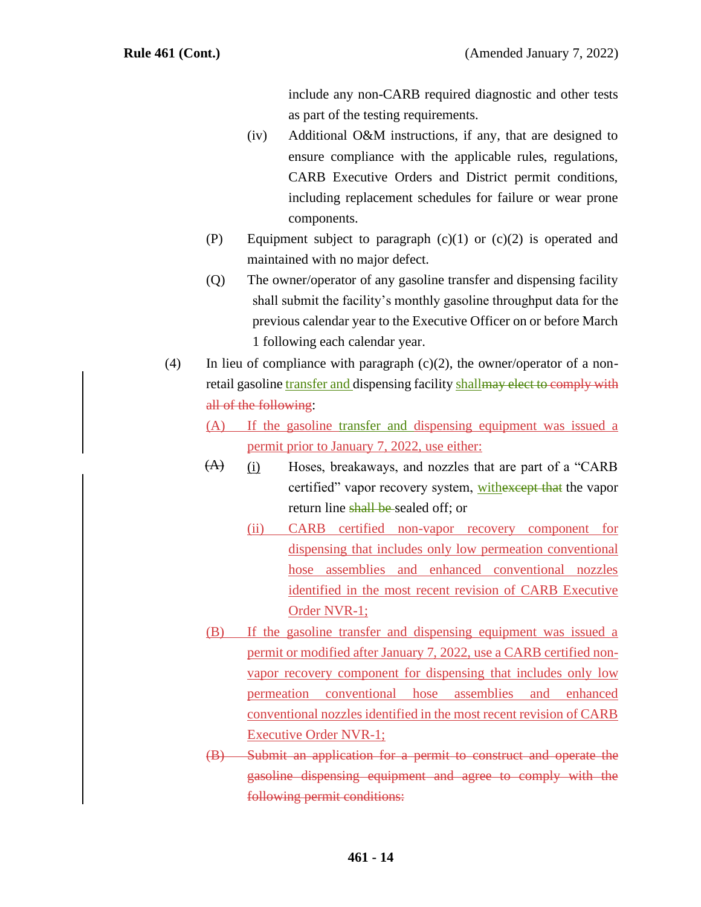include any non-CARB required diagnostic and other tests as part of the testing requirements.

- (iv) Additional O&M instructions, if any, that are designed to ensure compliance with the applicable rules, regulations, CARB Executive Orders and District permit conditions, including replacement schedules for failure or wear prone components.
- (P) Equipment subject to paragraph  $(c)(1)$  or  $(c)(2)$  is operated and maintained with no major defect.
- (Q) The owner/operator of any gasoline transfer and dispensing facility shall submit the facility's monthly gasoline throughput data for the previous calendar year to the Executive Officer on or before March 1 following each calendar year.
- (4) In lieu of compliance with paragraph  $(c)(2)$ , the owner/operator of a nonretail gasoline transfer and dispensing facility shall may elect to comply with all of the following:
	- (A) If the gasoline transfer and dispensing equipment was issued a permit prior to January 7, 2022, use either:
	- (i) Hoses, breakaways, and nozzles that are part of a "CARB certified" vapor recovery system, with except that the vapor return line shall be sealed off; or  $(A)$ 
		- (ii) CARB certified non-vapor recovery component for dispensing that includes only low permeation conventional hose assemblies and enhanced conventional nozzles identified in the most recent revision of CARB Executive Order NVR-1;
	- (B) If the gasoline transfer and dispensing equipment was issued a permit or modified after January 7, 2022, use a CARB certified nonvapor recovery component for dispensing that includes only low permeation conventional hose assemblies and enhanced conventional nozzles identified in the most recent revision of CARB Executive Order NVR-1;
	- (B) Submit an application for a permit to construct and operate the gasoline dispensing equipment and agree to comply with the following permit conditions: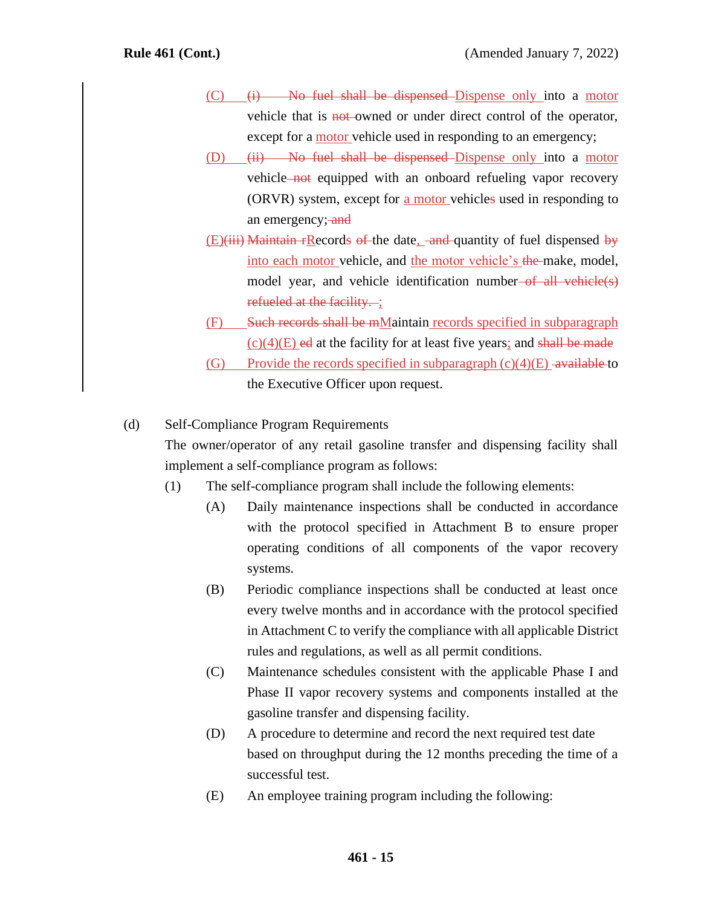- $(C)$  (i) No fuel shall be dispensed Dispense only into a motor vehicle that is **not**-owned or under direct control of the operator, except for a motor vehicle used in responding to an emergency;
- (D)  $(ii)$  No fuel shall be dispensed Dispense only into a motor vehicle not equipped with an onboard refueling vapor recovery (ORVR) system, except for <u>a motor</u> vehicles used in responding to an emergency; and
- $(E)(iii)$  Maintain rRecords of the date, and quantity of fuel dispensed by into each motor vehicle, and the motor vehicle's the make, model, model year, and vehicle identification number of all vehicle(s) refueled at the facility. :
- (F) Such records shall be mMaintain records specified in subparagraph  $(c)(4)$ (E) ed at the facility for at least five years; and shall be made
- (G) Provide the records specified in subparagraph  $(c)(4)(E)$  -available to the Executive Officer upon request.

#### (d) Self-Compliance Program Requirements

The owner/operator of any retail gasoline transfer and dispensing facility shall implement a self-compliance program as follows:

- (1) The self-compliance program shall include the following elements:
	- (A) Daily maintenance inspections shall be conducted in accordance with the protocol specified in Attachment B to ensure proper operating conditions of all components of the vapor recovery systems.
	- (B) Periodic compliance inspections shall be conducted at least once every twelve months and in accordance with the protocol specified in Attachment C to verify the compliance with all applicable District rules and regulations, as well as all permit conditions.
	- (C) Maintenance schedules consistent with the applicable Phase I and Phase II vapor recovery systems and components installed at the gasoline transfer and dispensing facility.
	- (D) A procedure to determine and record the next required test date based on throughput during the 12 months preceding the time of a successful test.
	- (E) An employee training program including the following: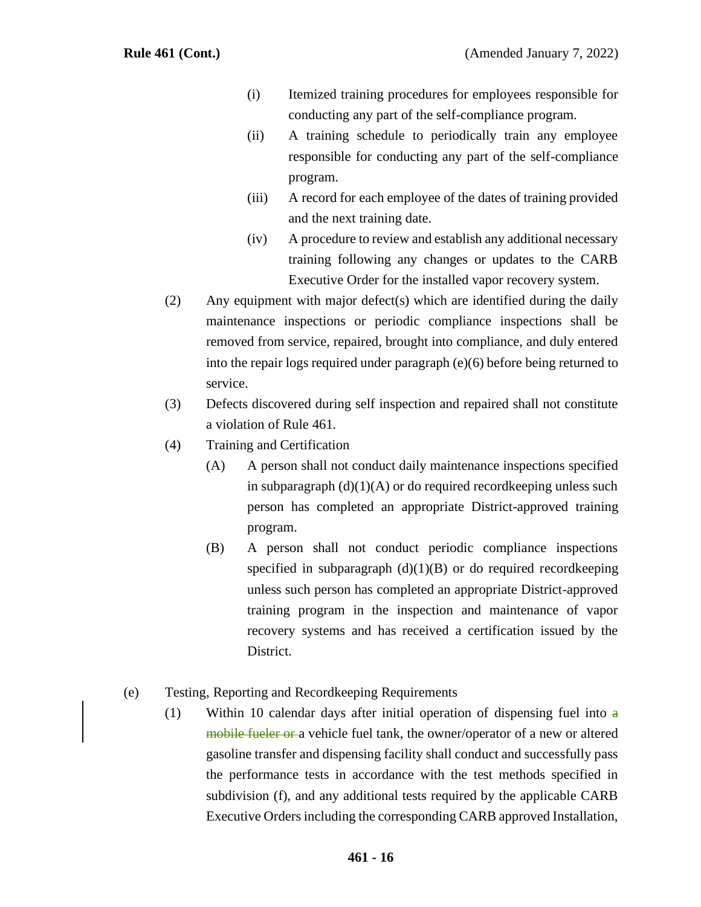- (i) Itemized training procedures for employees responsible for conducting any part of the self-compliance program.
- (ii) A training schedule to periodically train any employee responsible for conducting any part of the self-compliance program.
- (iii) A record for each employee of the dates of training provided and the next training date.
- (iv) A procedure to review and establish any additional necessary training following any changes or updates to the CARB Executive Order for the installed vapor recovery system.
- (2) Any equipment with major defect(s) which are identified during the daily maintenance inspections or periodic compliance inspections shall be removed from service, repaired, brought into compliance, and duly entered into the repair logs required under paragraph (e)(6) before being returned to service.
- (3) Defects discovered during self inspection and repaired shall not constitute a violation of Rule 461.
- (4) Training and Certification
	- (A) A person shall not conduct daily maintenance inspections specified in subparagraph  $(d)(1)(A)$  or do required record keeping unless such person has completed an appropriate District-approved training program.
	- (B) A person shall not conduct periodic compliance inspections specified in subparagraph  $(d)(1)(B)$  or do required recordkeeping unless such person has completed an appropriate District-approved training program in the inspection and maintenance of vapor recovery systems and has received a certification issued by the District.

#### (e) Testing, Reporting and Recordkeeping Requirements

(1) Within 10 calendar days after initial operation of dispensing fuel into  $\theta$ mobile fueler or a vehicle fuel tank, the owner/operator of a new or altered gasoline transfer and dispensing facility shall conduct and successfully pass the performance tests in accordance with the test methods specified in subdivision (f), and any additional tests required by the applicable CARB Executive Orders including the corresponding CARB approved Installation,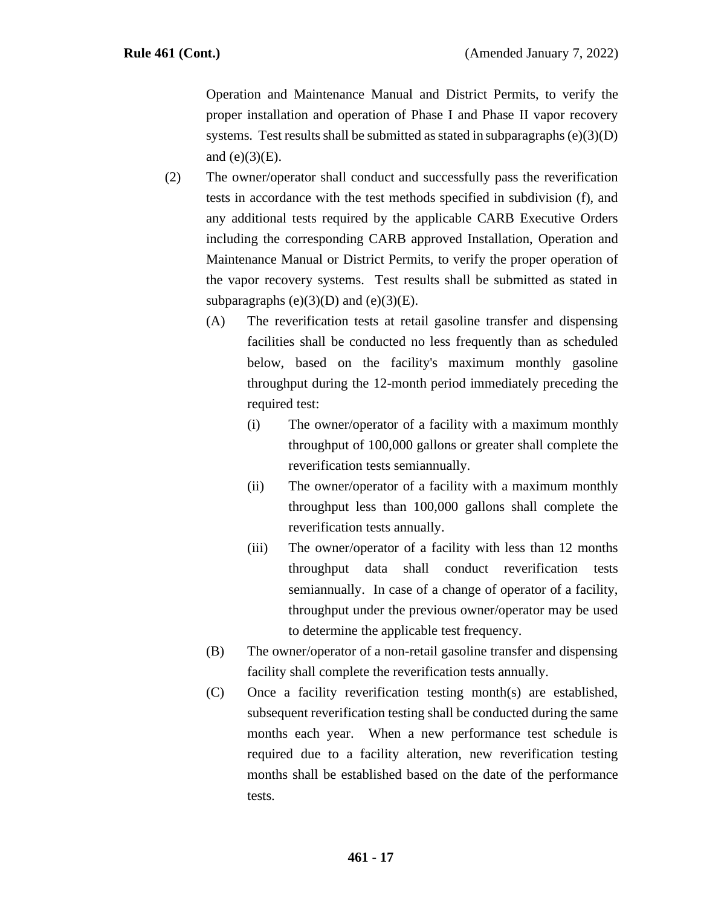Operation and Maintenance Manual and District Permits, to verify the proper installation and operation of Phase I and Phase II vapor recovery systems. Test results shall be submitted as stated in subparagraphs  $(e)(3)(D)$ and  $(e)(3)(E)$ .

- (2) The owner/operator shall conduct and successfully pass the reverification tests in accordance with the test methods specified in subdivision (f), and any additional tests required by the applicable CARB Executive Orders including the corresponding CARB approved Installation, Operation and Maintenance Manual or District Permits, to verify the proper operation of the vapor recovery systems. Test results shall be submitted as stated in subparagraphs  $(e)(3)(D)$  and  $(e)(3)(E)$ .
	- (A) The reverification tests at retail gasoline transfer and dispensing facilities shall be conducted no less frequently than as scheduled below, based on the facility's maximum monthly gasoline throughput during the 12-month period immediately preceding the required test:
		- (i) The owner/operator of a facility with a maximum monthly throughput of 100,000 gallons or greater shall complete the reverification tests semiannually.
		- (ii) The owner/operator of a facility with a maximum monthly throughput less than 100,000 gallons shall complete the reverification tests annually.
		- (iii) The owner/operator of a facility with less than 12 months throughput data shall conduct reverification tests semiannually. In case of a change of operator of a facility, throughput under the previous owner/operator may be used to determine the applicable test frequency.
	- (B) The owner/operator of a non-retail gasoline transfer and dispensing facility shall complete the reverification tests annually.
	- (C) Once a facility reverification testing month(s) are established, subsequent reverification testing shall be conducted during the same months each year. When a new performance test schedule is required due to a facility alteration, new reverification testing months shall be established based on the date of the performance tests.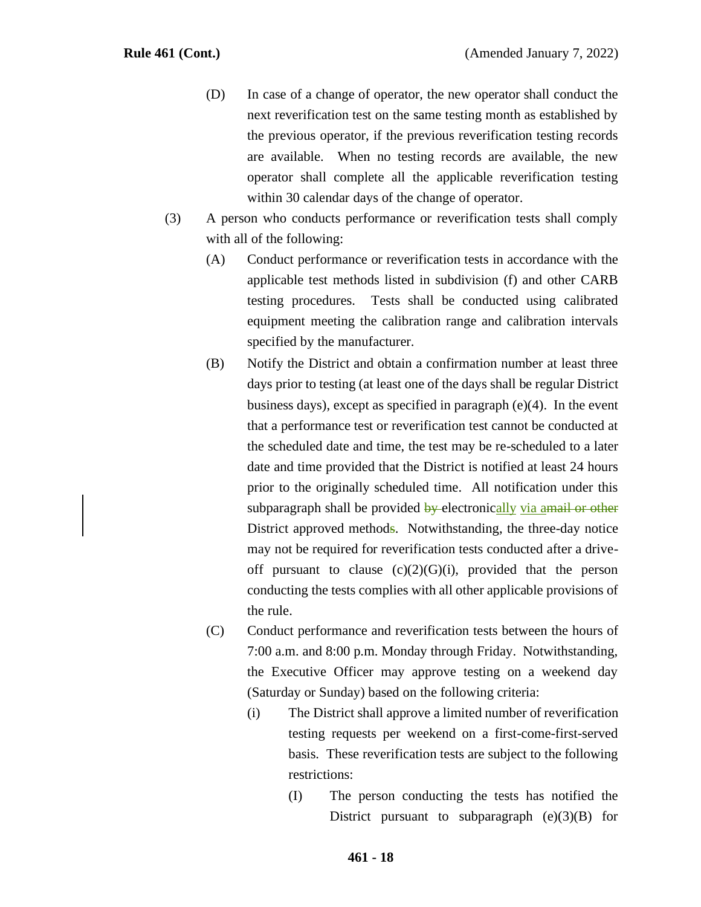- (D) In case of a change of operator, the new operator shall conduct the next reverification test on the same testing month as established by the previous operator, if the previous reverification testing records are available. When no testing records are available, the new operator shall complete all the applicable reverification testing within 30 calendar days of the change of operator.
- (3) A person who conducts performance or reverification tests shall comply with all of the following:
	- (A) Conduct performance or reverification tests in accordance with the applicable test methods listed in subdivision (f) and other CARB testing procedures. Tests shall be conducted using calibrated equipment meeting the calibration range and calibration intervals specified by the manufacturer.
	- (B) Notify the District and obtain a confirmation number at least three days prior to testing (at least one of the days shall be regular District business days), except as specified in paragraph (e)(4). In the event that a performance test or reverification test cannot be conducted at the scheduled date and time, the test may be re-scheduled to a later date and time provided that the District is notified at least 24 hours prior to the originally scheduled time. All notification under this subparagraph shall be provided by electronically via amail or other District approved methods. Notwithstanding, the three-day notice may not be required for reverification tests conducted after a driveoff pursuant to clause  $(c)(2)(G)(i)$ , provided that the person conducting the tests complies with all other applicable provisions of the rule.
	- (C) Conduct performance and reverification tests between the hours of 7:00 a.m. and 8:00 p.m. Monday through Friday. Notwithstanding, the Executive Officer may approve testing on a weekend day (Saturday or Sunday) based on the following criteria:
		- (i) The District shall approve a limited number of reverification testing requests per weekend on a first-come-first-served basis. These reverification tests are subject to the following restrictions:
			- (I) The person conducting the tests has notified the District pursuant to subparagraph  $(e)(3)(B)$  for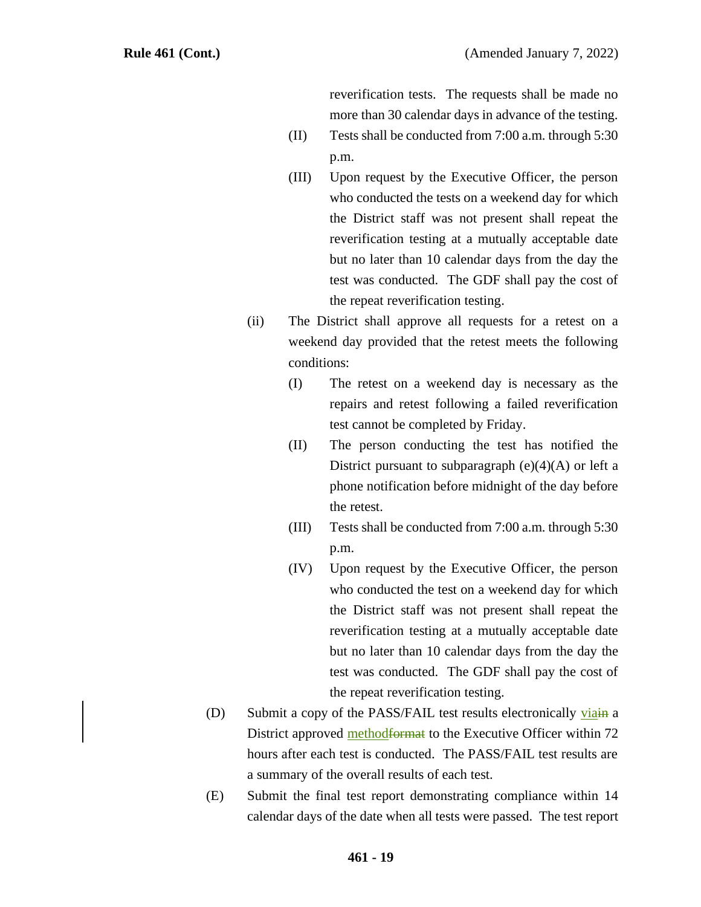reverification tests. The requests shall be made no more than 30 calendar days in advance of the testing.

- (II) Tests shall be conducted from 7:00 a.m. through 5:30 p.m.
- (III) Upon request by the Executive Officer, the person who conducted the tests on a weekend day for which the District staff was not present shall repeat the reverification testing at a mutually acceptable date but no later than 10 calendar days from the day the test was conducted. The GDF shall pay the cost of the repeat reverification testing.
- (ii) The District shall approve all requests for a retest on a weekend day provided that the retest meets the following conditions:
	- (I) The retest on a weekend day is necessary as the repairs and retest following a failed reverification test cannot be completed by Friday.
	- (II) The person conducting the test has notified the District pursuant to subparagraph  $(e)(4)(A)$  or left a phone notification before midnight of the day before the retest.
	- (III) Tests shall be conducted from 7:00 a.m. through 5:30 p.m.
	- (IV) Upon request by the Executive Officer, the person who conducted the test on a weekend day for which the District staff was not present shall repeat the reverification testing at a mutually acceptable date but no later than 10 calendar days from the day the test was conducted. The GDF shall pay the cost of the repeat reverification testing.
- (D) Submit a copy of the PASS/FAIL test results electronically viain a District approved method format to the Executive Officer within 72 hours after each test is conducted. The PASS/FAIL test results are a summary of the overall results of each test.
- (E) Submit the final test report demonstrating compliance within 14 calendar days of the date when all tests were passed. The test report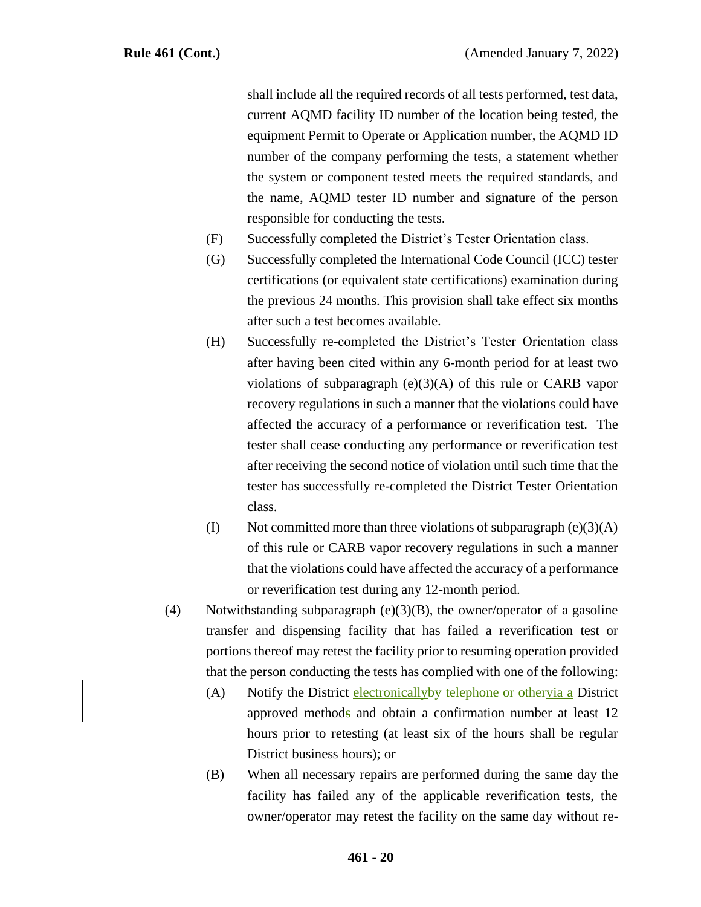shall include all the required records of all tests performed, test data, current AQMD facility ID number of the location being tested, the equipment Permit to Operate or Application number, the AQMD ID number of the company performing the tests, a statement whether the system or component tested meets the required standards, and the name, AQMD tester ID number and signature of the person responsible for conducting the tests.

- (F) Successfully completed the District's Tester Orientation class.
- (G) Successfully completed the International Code Council (ICC) tester certifications (or equivalent state certifications) examination during the previous 24 months. This provision shall take effect six months after such a test becomes available.
- (H) Successfully re-completed the District's Tester Orientation class after having been cited within any 6-month period for at least two violations of subparagraph  $(e)(3)(A)$  of this rule or CARB vapor recovery regulations in such a manner that the violations could have affected the accuracy of a performance or reverification test. The tester shall cease conducting any performance or reverification test after receiving the second notice of violation until such time that the tester has successfully re-completed the District Tester Orientation class.
- (I) Not committed more than three violations of subparagraph  $(e)(3)(A)$ of this rule or CARB vapor recovery regulations in such a manner that the violations could have affected the accuracy of a performance or reverification test during any 12-month period.
- (4) Notwithstanding subparagraph  $(e)(3)(B)$ , the owner/operator of a gasoline transfer and dispensing facility that has failed a reverification test or portions thereof may retest the facility prior to resuming operation provided that the person conducting the tests has complied with one of the following:
	- (A) Notify the District electronically by telephone or othervia a District approved methods and obtain a confirmation number at least 12 hours prior to retesting (at least six of the hours shall be regular District business hours); or
	- (B) When all necessary repairs are performed during the same day the facility has failed any of the applicable reverification tests, the owner/operator may retest the facility on the same day without re-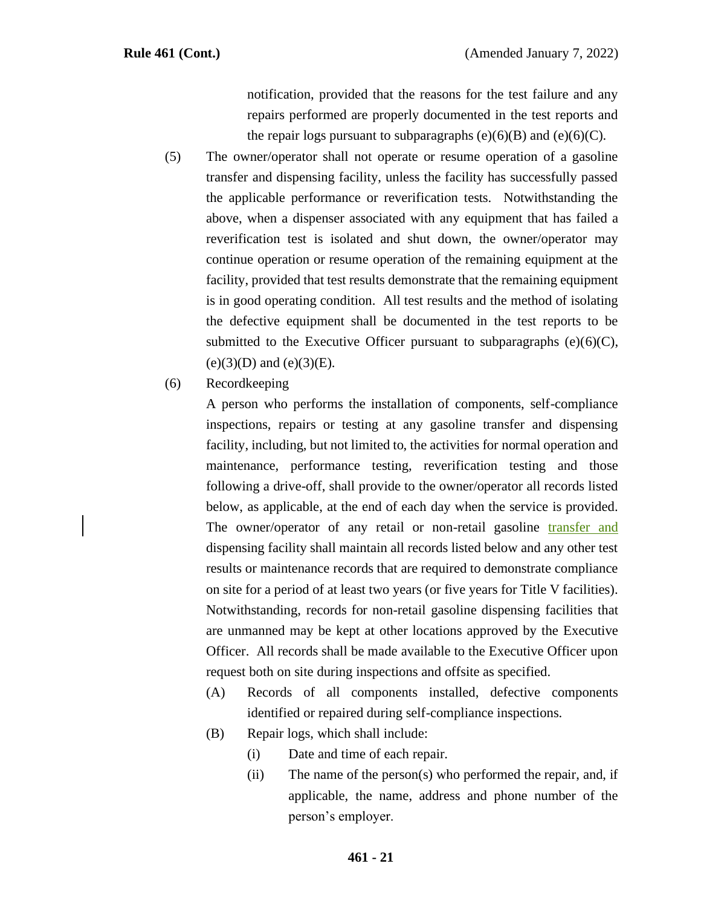notification, provided that the reasons for the test failure and any repairs performed are properly documented in the test reports and the repair logs pursuant to subparagraphs  $(e)(6)(B)$  and  $(e)(6)(C)$ .

- (5) The owner/operator shall not operate or resume operation of a gasoline transfer and dispensing facility, unless the facility has successfully passed the applicable performance or reverification tests. Notwithstanding the above, when a dispenser associated with any equipment that has failed a reverification test is isolated and shut down, the owner/operator may continue operation or resume operation of the remaining equipment at the facility, provided that test results demonstrate that the remaining equipment is in good operating condition. All test results and the method of isolating the defective equipment shall be documented in the test reports to be submitted to the Executive Officer pursuant to subparagraphs  $(e)(6)(C)$ ,  $(e)(3)(D)$  and  $(e)(3)(E)$ .
- (6) Recordkeeping

A person who performs the installation of components, self-compliance inspections, repairs or testing at any gasoline transfer and dispensing facility, including, but not limited to, the activities for normal operation and maintenance, performance testing, reverification testing and those following a drive-off, shall provide to the owner/operator all records listed below, as applicable, at the end of each day when the service is provided. The owner/operator of any retail or non-retail gasoline transfer and dispensing facility shall maintain all records listed below and any other test results or maintenance records that are required to demonstrate compliance on site for a period of at least two years (or five years for Title V facilities). Notwithstanding, records for non-retail gasoline dispensing facilities that are unmanned may be kept at other locations approved by the Executive Officer. All records shall be made available to the Executive Officer upon request both on site during inspections and offsite as specified.

- (A) Records of all components installed, defective components identified or repaired during self-compliance inspections.
- (B) Repair logs, which shall include:
	- (i) Date and time of each repair.
	- (ii) The name of the person(s) who performed the repair, and, if applicable, the name, address and phone number of the person's employer.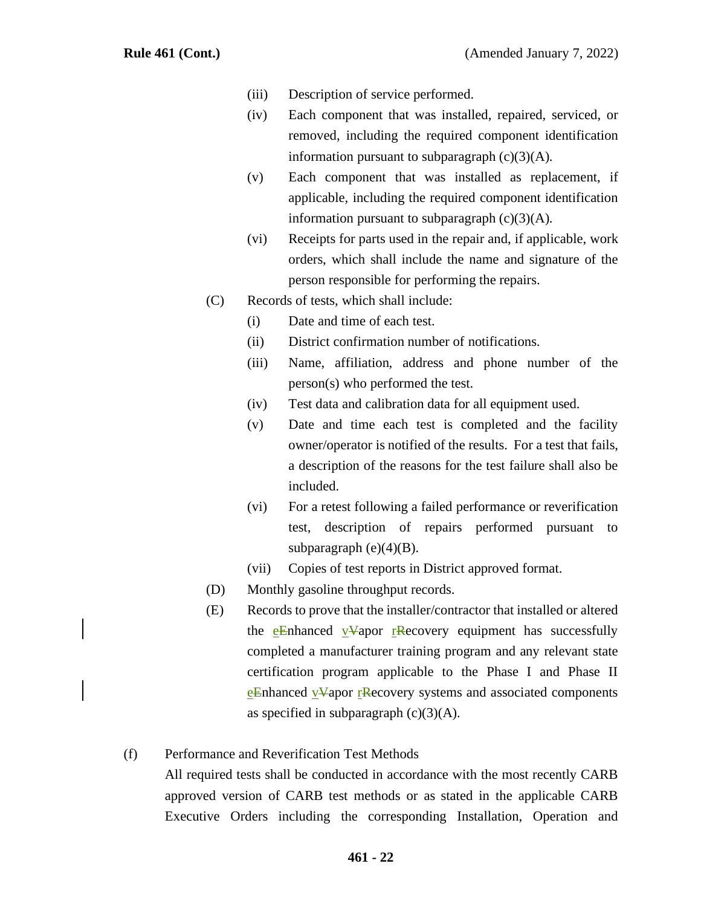- (iii) Description of service performed.
- (iv) Each component that was installed, repaired, serviced, or removed, including the required component identification information pursuant to subparagraph  $(c)(3)(A)$ .
- (v) Each component that was installed as replacement, if applicable, including the required component identification information pursuant to subparagraph  $(c)(3)(A)$ .
- (vi) Receipts for parts used in the repair and, if applicable, work orders, which shall include the name and signature of the person responsible for performing the repairs.
- (C) Records of tests, which shall include:
	- (i) Date and time of each test.
	- (ii) District confirmation number of notifications.
	- (iii) Name, affiliation, address and phone number of the person(s) who performed the test.
	- (iv) Test data and calibration data for all equipment used.
	- (v) Date and time each test is completed and the facility owner/operator is notified of the results. For a test that fails, a description of the reasons for the test failure shall also be included.
	- (vi) For a retest following a failed performance or reverification test, description of repairs performed pursuant to subparagraph  $(e)(4)(B)$ .
	- (vii) Copies of test reports in District approved format.
- (D) Monthly gasoline throughput records.
- (E) Records to prove that the installer/contractor that installed or altered the eEnhanced vVapor rRecovery equipment has successfully completed a manufacturer training program and any relevant state certification program applicable to the Phase I and Phase II eEnhanced vVapor rRecovery systems and associated components as specified in subparagraph  $(c)(3)(A)$ .

#### (f) Performance and Reverification Test Methods

All required tests shall be conducted in accordance with the most recently CARB approved version of CARB test methods or as stated in the applicable CARB Executive Orders including the corresponding Installation, Operation and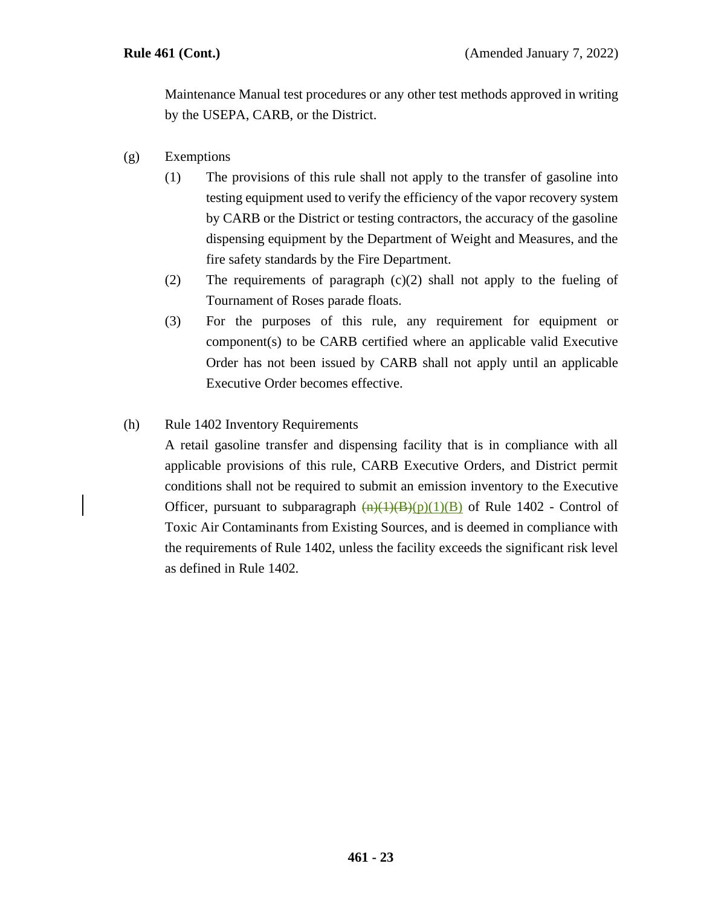Maintenance Manual test procedures or any other test methods approved in writing by the USEPA, CARB, or the District.

- (g) Exemptions
	- (1) The provisions of this rule shall not apply to the transfer of gasoline into testing equipment used to verify the efficiency of the vapor recovery system by CARB or the District or testing contractors, the accuracy of the gasoline dispensing equipment by the Department of Weight and Measures, and the fire safety standards by the Fire Department.
	- (2) The requirements of paragraph (c)(2) shall not apply to the fueling of Tournament of Roses parade floats.
	- (3) For the purposes of this rule, any requirement for equipment or component(s) to be CARB certified where an applicable valid Executive Order has not been issued by CARB shall not apply until an applicable Executive Order becomes effective.

#### (h) Rule 1402 Inventory Requirements

A retail gasoline transfer and dispensing facility that is in compliance with all applicable provisions of this rule, CARB Executive Orders, and District permit conditions shall not be required to submit an emission inventory to the Executive Officer, pursuant to subparagraph  $\frac{(n)(1)(B)}{(B)}$  of Rule 1402 - Control of Toxic Air Contaminants from Existing Sources, and is deemed in compliance with the requirements of Rule 1402, unless the facility exceeds the significant risk level as defined in Rule 1402.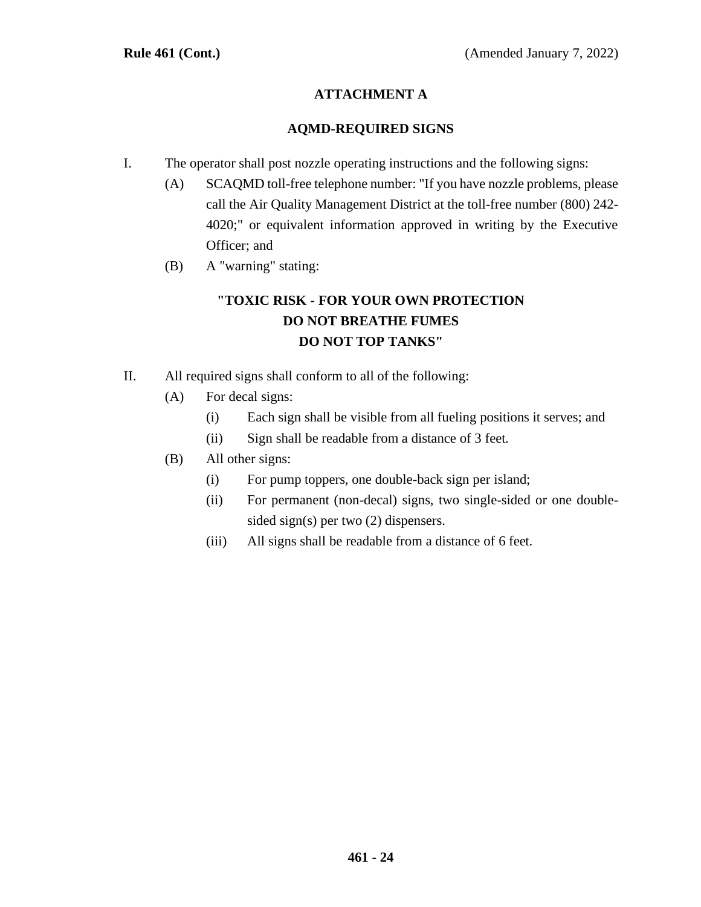# **ATTACHMENT A**

#### **AQMD-REQUIRED SIGNS**

- I. The operator shall post nozzle operating instructions and the following signs:
	- (A) SCAQMD toll-free telephone number: "If you have nozzle problems, please call the Air Quality Management District at the toll-free number (800) 242- 4020;" or equivalent information approved in writing by the Executive Officer; and
	- (B) A "warning" stating:

# **"TOXIC RISK - FOR YOUR OWN PROTECTION DO NOT BREATHE FUMES DO NOT TOP TANKS"**

- II. All required signs shall conform to all of the following:
	- (A) For decal signs:
		- (i) Each sign shall be visible from all fueling positions it serves; and
		- (ii) Sign shall be readable from a distance of 3 feet.
	- (B) All other signs:
		- (i) For pump toppers, one double-back sign per island;
		- (ii) For permanent (non-decal) signs, two single-sided or one doublesided sign(s) per two (2) dispensers.
		- (iii) All signs shall be readable from a distance of 6 feet.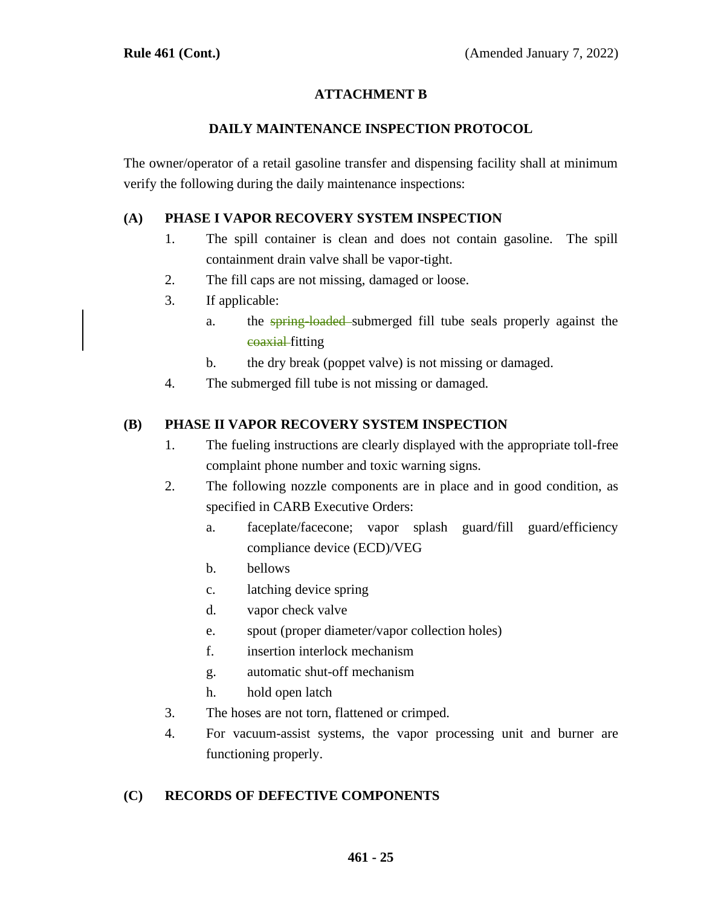# **ATTACHMENT B**

#### **DAILY MAINTENANCE INSPECTION PROTOCOL**

The owner/operator of a retail gasoline transfer and dispensing facility shall at minimum verify the following during the daily maintenance inspections:

# **(A) PHASE I VAPOR RECOVERY SYSTEM INSPECTION**

- 1. The spill container is clean and does not contain gasoline. The spill containment drain valve shall be vapor-tight.
- 2. The fill caps are not missing, damaged or loose.
- 3. If applicable:
	- a. the spring-loaded submerged fill tube seals properly against the coaxial fitting
	- b. the dry break (poppet valve) is not missing or damaged.
- 4. The submerged fill tube is not missing or damaged.

## **(B) PHASE II VAPOR RECOVERY SYSTEM INSPECTION**

- 1. The fueling instructions are clearly displayed with the appropriate toll-free complaint phone number and toxic warning signs.
- 2. The following nozzle components are in place and in good condition, as specified in CARB Executive Orders:
	- a. faceplate/facecone; vapor splash guard/fill guard/efficiency compliance device (ECD)/VEG
	- b. bellows
	- c. latching device spring
	- d. vapor check valve
	- e. spout (proper diameter/vapor collection holes)
	- f. insertion interlock mechanism
	- g. automatic shut-off mechanism
	- h. hold open latch
- 3. The hoses are not torn, flattened or crimped.
- 4. For vacuum-assist systems, the vapor processing unit and burner are functioning properly.

# **(C) RECORDS OF DEFECTIVE COMPONENTS**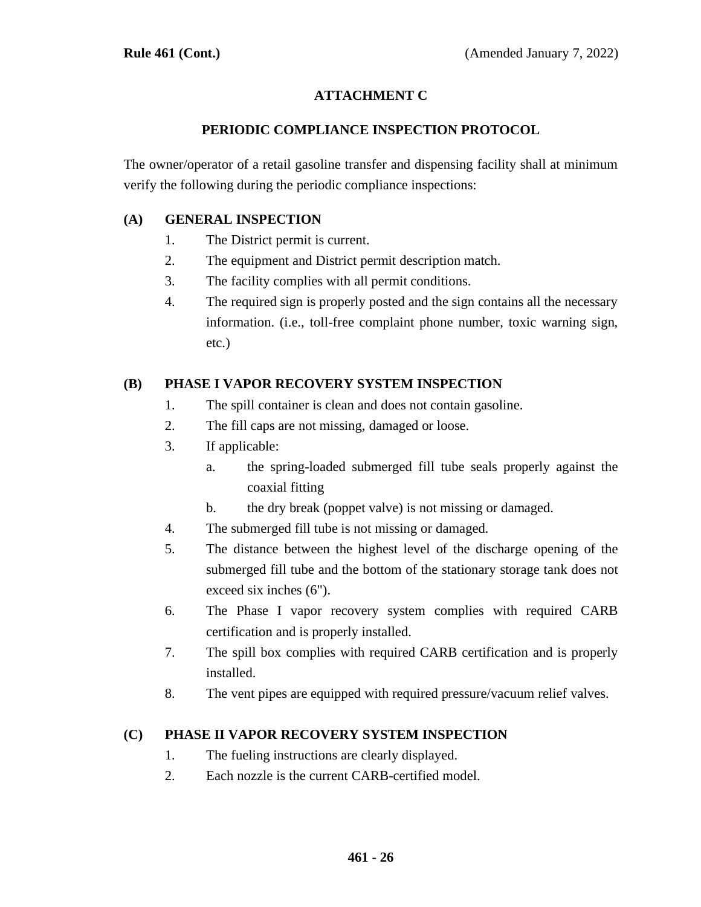# **ATTACHMENT C**

#### **PERIODIC COMPLIANCE INSPECTION PROTOCOL**

The owner/operator of a retail gasoline transfer and dispensing facility shall at minimum verify the following during the periodic compliance inspections:

#### **(A) GENERAL INSPECTION**

- 1. The District permit is current.
- 2. The equipment and District permit description match.
- 3. The facility complies with all permit conditions.
- 4. The required sign is properly posted and the sign contains all the necessary information. (i.e., toll-free complaint phone number, toxic warning sign, etc.)

## **(B) PHASE I VAPOR RECOVERY SYSTEM INSPECTION**

- 1. The spill container is clean and does not contain gasoline.
- 2. The fill caps are not missing, damaged or loose.
- 3. If applicable:
	- a. the spring-loaded submerged fill tube seals properly against the coaxial fitting
	- b. the dry break (poppet valve) is not missing or damaged.
- 4. The submerged fill tube is not missing or damaged.
- 5. The distance between the highest level of the discharge opening of the submerged fill tube and the bottom of the stationary storage tank does not exceed six inches (6").
- 6. The Phase I vapor recovery system complies with required CARB certification and is properly installed.
- 7. The spill box complies with required CARB certification and is properly installed.
- 8. The vent pipes are equipped with required pressure/vacuum relief valves.

#### **(C) PHASE II VAPOR RECOVERY SYSTEM INSPECTION**

- 1. The fueling instructions are clearly displayed.
- 2. Each nozzle is the current CARB-certified model.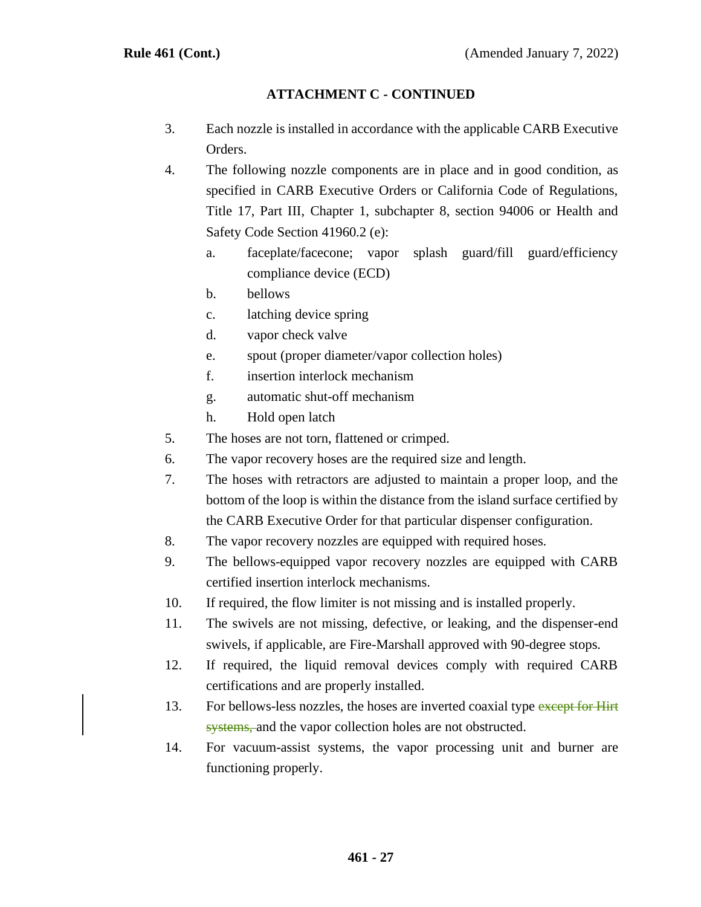# **ATTACHMENT C - CONTINUED**

- 3. Each nozzle is installed in accordance with the applicable CARB Executive Orders.
- 4. The following nozzle components are in place and in good condition, as specified in CARB Executive Orders or California Code of Regulations, Title 17, Part III, Chapter 1, subchapter 8, section 94006 or Health and Safety Code Section 41960.2 (e):
	- a. faceplate/facecone; vapor splash guard/fill guard/efficiency compliance device (ECD)
	- b. bellows
	- c. latching device spring
	- d. vapor check valve
	- e. spout (proper diameter/vapor collection holes)
	- f. insertion interlock mechanism
	- g. automatic shut-off mechanism
	- h. Hold open latch
- 5. The hoses are not torn, flattened or crimped.
- 6. The vapor recovery hoses are the required size and length.
- 7. The hoses with retractors are adjusted to maintain a proper loop, and the bottom of the loop is within the distance from the island surface certified by the CARB Executive Order for that particular dispenser configuration.
- 8. The vapor recovery nozzles are equipped with required hoses.
- 9. The bellows-equipped vapor recovery nozzles are equipped with CARB certified insertion interlock mechanisms.
- 10. If required, the flow limiter is not missing and is installed properly.
- 11. The swivels are not missing, defective, or leaking, and the dispenser-end swivels, if applicable, are Fire-Marshall approved with 90-degree stops.
- 12. If required, the liquid removal devices comply with required CARB certifications and are properly installed.
- 13. For bellows-less nozzles, the hoses are inverted coaxial type except for Hirt systems, and the vapor collection holes are not obstructed.
- 14. For vacuum-assist systems, the vapor processing unit and burner are functioning properly.